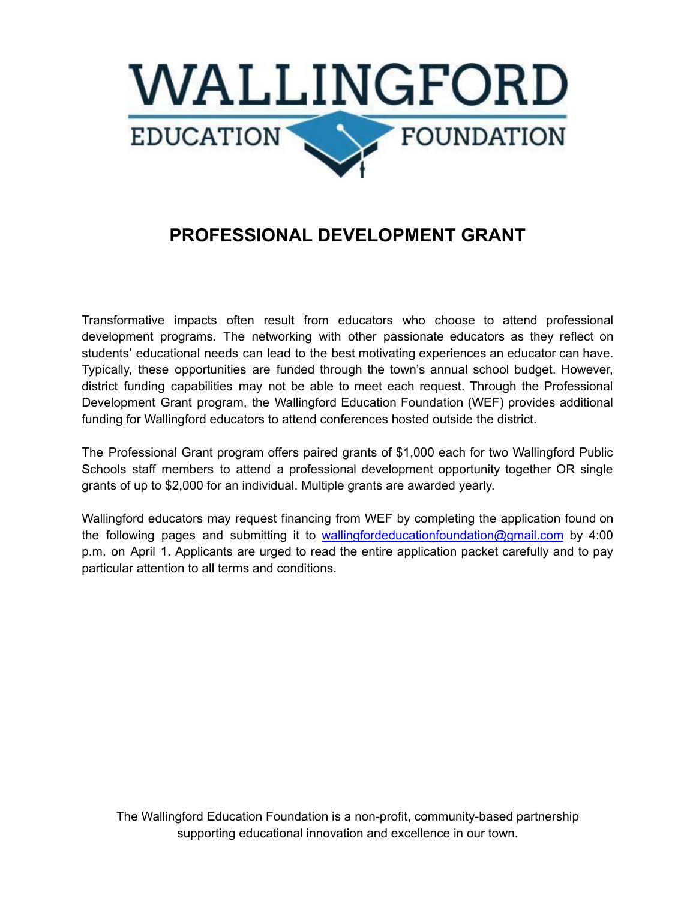

## **PROFESSIONAL DEVELOPMENT GRANT**

Transformative impacts often result from educators who choose to attend professional development programs. The networking with other passionate educators as they reflect on students' educational needs can lead to the best motivating experiences an educator can have. Typically, these opportunities are funded through the town's annual school budget. However, district funding capabilities may not be able to meet each request. Through the Professional Development Grant program, the Wallingford Education Foundation (WEF) provides additional funding for Wallingford educators to attend conferences hosted outside the district.

The Professional Grant program offers paired grants of \$1,000 each for two Wallingford Public Schools staff members to attend a professional development opportunity together OR single grants of up to \$2,000 for an individual. Multiple grants are awarded yearly.

Wallingford educators may request financing from WEF by completing the application found on the following pages and submitting it to [wallingfordeducationfoundation@gmail.com](mailto:wallingfordeducationfoundation@gmail.com) by 4:00 p.m. on April 1. Applicants are urged to read the entire application packet carefully and to pay particular attention to all terms and conditions.

The Wallingford Education Foundation is a non-profit, community-based partnership supporting educational innovation and excellence in our town.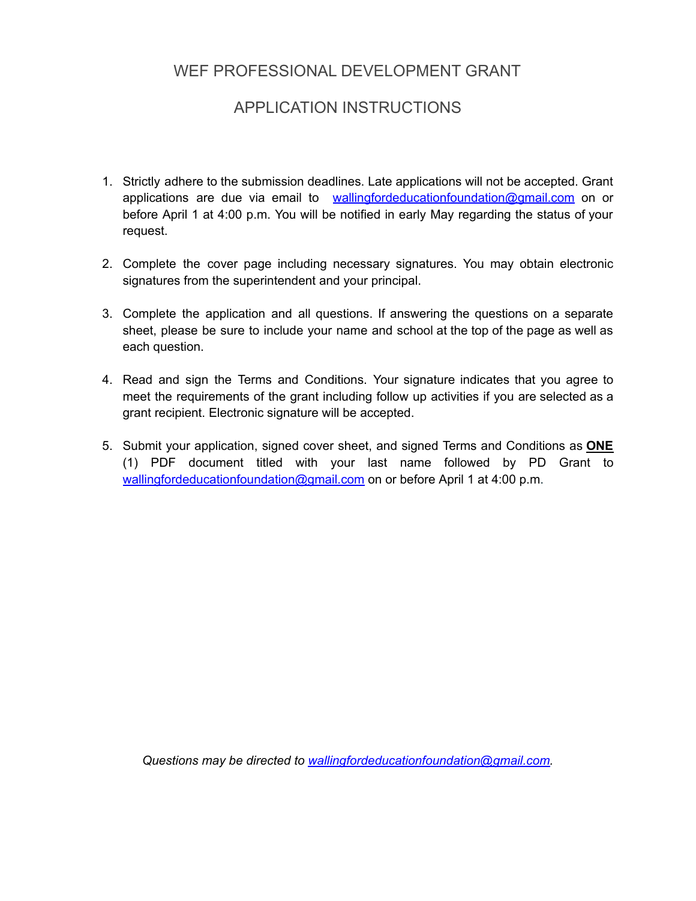## WEF PROFESSIONAL DEVELOPMENT GRANT

## APPLICATION INSTRUCTIONS

- 1. Strictly adhere to the submission deadlines. Late applications will not be accepted. Grant applications are due via email to [wallingfordeducationfoundation@gmail.com](mailto:wallingfordeducationfoundation@gmail.com) on or before April 1 at 4:00 p.m. You will be notified in early May regarding the status of your request.
- 2. Complete the cover page including necessary signatures. You may obtain electronic signatures from the superintendent and your principal.
- 3. Complete the application and all questions. If answering the questions on a separate sheet, please be sure to include your name and school at the top of the page as well as each question.
- 4. Read and sign the Terms and Conditions. Your signature indicates that you agree to meet the requirements of the grant including follow up activities if you are selected as a grant recipient. Electronic signature will be accepted.
- 5. Submit your application, signed cover sheet, and signed Terms and Conditions as **ONE** (1) PDF document titled with your last name followed by PD Grant to [wallingfordeducationfoundation@gmail.com](mailto:wallingfordeducationfoundation@gmail.com) on or before April 1 at 4:00 p.m.

*Questions may be directed to [wallingfordeducationfoundation@gmail.com.](mailto:wallingfordeducationfoundation@gmail.com)*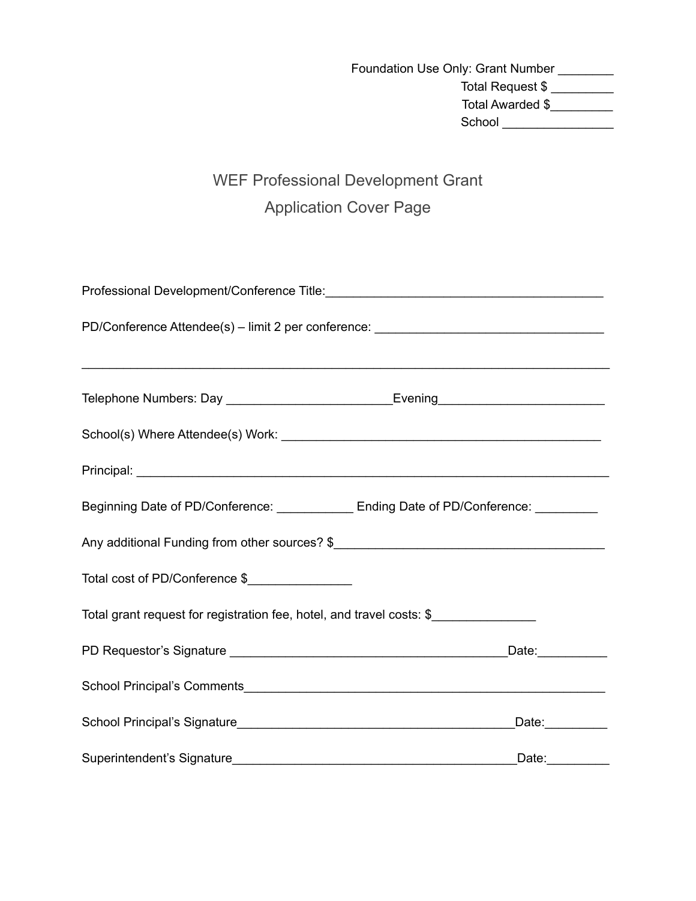Foundation Use Only: Grant Number \_\_\_\_\_\_\_\_ Total Request \$ \_\_\_\_\_\_\_\_\_ Total Awarded \$ School \_\_\_\_\_\_\_\_\_\_\_\_\_\_\_\_

# WEF Professional Development Grant Application Cover Page

| PD/Conference Attendee(s) - limit 2 per conference: ____________________________        |                   |
|-----------------------------------------------------------------------------------------|-------------------|
|                                                                                         |                   |
|                                                                                         |                   |
|                                                                                         |                   |
|                                                                                         |                   |
| Beginning Date of PD/Conference: ______________ Ending Date of PD/Conference: _________ |                   |
| Any additional Funding from other sources? \$                                           |                   |
| Total cost of PD/Conference \$                                                          |                   |
| Total grant request for registration fee, hotel, and travel costs: \$                   |                   |
|                                                                                         | _Date:___________ |
|                                                                                         |                   |
|                                                                                         | Date: _________   |
|                                                                                         |                   |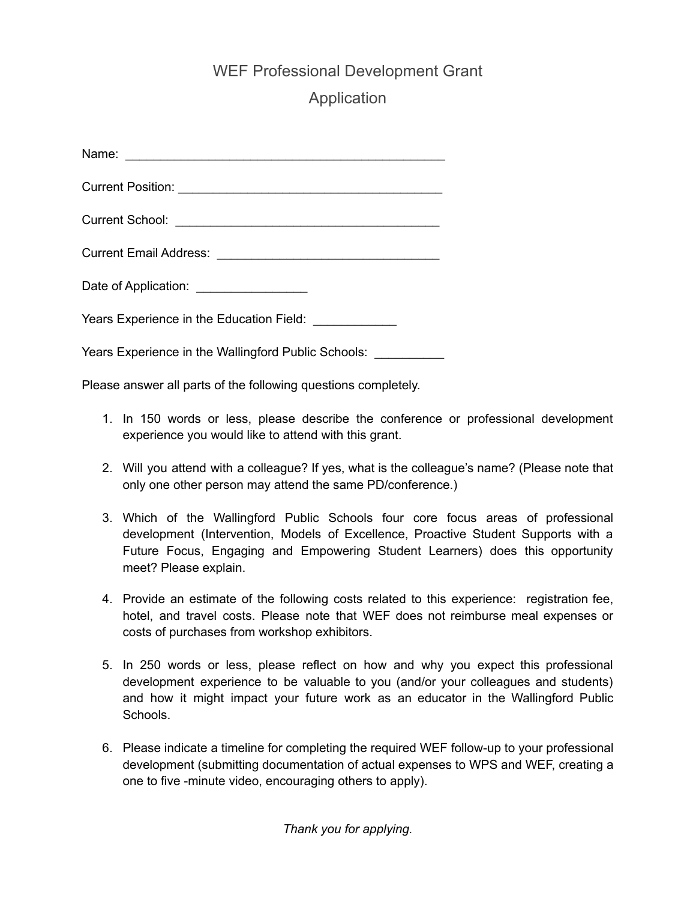## WEF Professional Development Grant

## Application

| Date of Application: _________________                 |
|--------------------------------------------------------|
| Years Experience in the Education Field: _____________ |
| Years Experience in the Wallingford Public Schools:    |

Please answer all parts of the following questions completely.

- 1. In 150 words or less, please describe the conference or professional development experience you would like to attend with this grant.
- 2. Will you attend with a colleague? If yes, what is the colleague's name? (Please note that only one other person may attend the same PD/conference.)
- 3. Which of the Wallingford Public Schools four core focus areas of professional development (Intervention, Models of Excellence, Proactive Student Supports with a Future Focus, Engaging and Empowering Student Learners) does this opportunity meet? Please explain.
- 4. Provide an estimate of the following costs related to this experience: registration fee, hotel, and travel costs. Please note that WEF does not reimburse meal expenses or costs of purchases from workshop exhibitors.
- 5. In 250 words or less, please reflect on how and why you expect this professional development experience to be valuable to you (and/or your colleagues and students) and how it might impact your future work as an educator in the Wallingford Public Schools.
- 6. Please indicate a timeline for completing the required WEF follow-up to your professional development (submitting documentation of actual expenses to WPS and WEF, creating a one to five -minute video, encouraging others to apply).

*Thank you for applying.*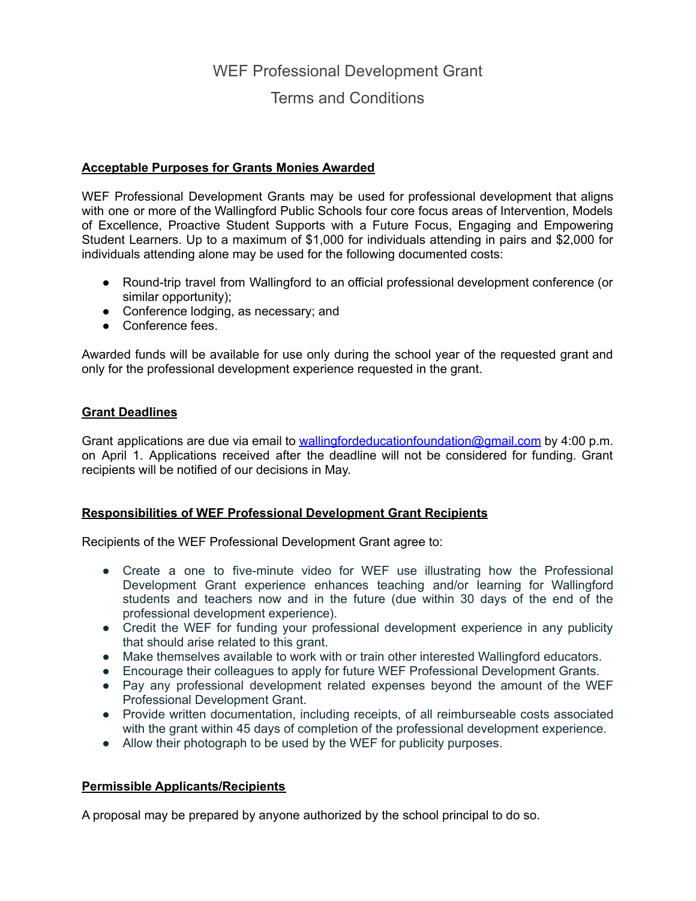## WEF Professional Development Grant

### Terms and Conditions

#### **Acceptable Purposes for Grants Monies Awarded**

WEF Professional Development Grants may be used for professional development that aligns with one or more of the Wallingford Public Schools four core focus areas of Intervention, Models of Excellence, Proactive Student Supports with a Future Focus, Engaging and Empowering Student Learners. Up to a maximum of \$1,000 for individuals attending in pairs and \$2,000 for individuals attending alone may be used for the following documented costs:

- Round-trip travel from Wallingford to an official professional development conference (or similar opportunity);
- Conference lodging, as necessary; and
- Conference fees.

Awarded funds will be available for use only during the school year of the requested grant and only for the professional development experience requested in the grant.

#### **Grant Deadlines**

Grant applications are due via email to [wallingfordeducationfoundation@gmail.com](mailto:wallingfordeducationfoundation@gmail.com) by 4:00 p.m. on April 1. Applications received after the deadline will not be considered for funding. Grant recipients will be notified of our decisions in May.

#### **Responsibilities of WEF Professional Development Grant Recipients**

Recipients of the WEF Professional Development Grant agree to:

- Create a one to five-minute video for WEF use illustrating how the Professional Development Grant experience enhances teaching and/or learning for Wallingford students and teachers now and in the future (due within 30 days of the end of the professional development experience).
- Credit the WEF for funding your professional development experience in any publicity that should arise related to this grant.
- Make themselves available to work with or train other interested Wallingford educators.
- Encourage their colleagues to apply for future WEF Professional Development Grants.
- Pay any professional development related expenses beyond the amount of the WEF Professional Development Grant.
- Provide written documentation, including receipts, of all reimburseable costs associated with the grant within 45 days of completion of the professional development experience.
- Allow their photograph to be used by the WEF for publicity purposes.

#### **Permissible Applicants/Recipients**

A proposal may be prepared by anyone authorized by the school principal to do so.